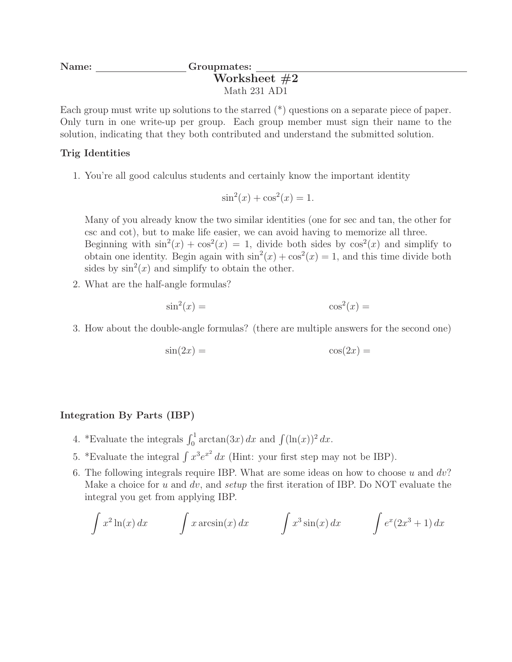## Name: Groupmates: Worksheet #2 Math 231 AD1

Each group must write up solutions to the starred (\*) questions on a separate piece of paper. Only turn in one write-up per group. Each group member must sign their name to the solution, indicating that they both contributed and understand the submitted solution.

## Trig Identities

1. You're all good calculus students and certainly know the important identity

$$
\sin^2(x) + \cos^2(x) = 1.
$$

Many of you already know the two similar identities (one for sec and tan, the other for csc and cot), but to make life easier, we can avoid having to memorize all three. Beginning with  $\sin^2(x) + \cos^2(x) = 1$ , divide both sides by  $\cos^2(x)$  and simplify to obtain one identity. Begin again with  $\sin^2(x) + \cos^2(x) = 1$ , and this time divide both sides by  $\sin^2(x)$  and simplify to obtain the other.

2. What are the half-angle formulas?

$$
\sin^2(x) = \cos^2(x) =
$$

3. How about the double-angle formulas? (there are multiple answers for the second one)

$$
\sin(2x) = \cos(2x) =
$$

## Integration By Parts (IBP)

- 4. \*Evaluate the integrals  $\int_0^1 \arctan(3x) dx$  and  $\int (\ln(x))^2 dx$ .
- 5. \*Evaluate the integral  $\int x^3 e^{x^2} dx$  (Hint: your first step may not be IBP).
- 6. The following integrals require IBP. What are some ideas on how to choose  $u$  and  $dv$ ? Make a choice for u and dv, and setup the first iteration of IBP. Do NOT evaluate the integral you get from applying IBP.

$$
\int x^2 \ln(x) dx \qquad \int x \arcsin(x) dx \qquad \int x^3 \sin(x) dx \qquad \int e^x (2x^3 + 1) dx
$$